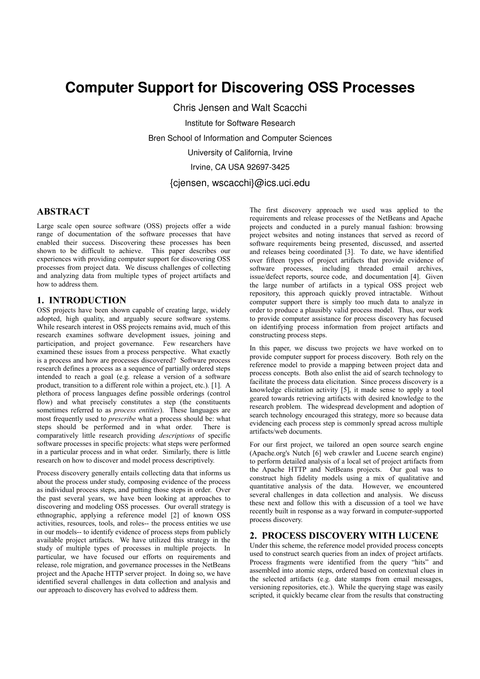# **Computer Support for Discovering OSS Processes**

Chris Jensen and Walt Scacchi Institute for Software Research Bren School of Information and Computer Sciences University of California, Irvine Irvine, CA USA 92697-3425

## {cjensen, wscacchi}@ics.uci.edu

# **ABSTRACT**

Large scale open source software (OSS) projects offer a wide range of documentation of the software processes that have enabled their success. Discovering these processes has been shown to be difficult to achieve. This paper describes our experiences with providing computer support for discovering OSS processes from project data. We discuss challenges of collecting and analyzing data from multiple types of project artifacts and how to address them

#### **1. INTRODUCTION**

OSS projects have been shown capable of creating large, widely adopted, high quality, and arguably secure software systems. While research interest in OSS projects remains avid, much of this research examines software development issues, joining and participation, and project governance. Few researchers have examined these issues from a process perspective. What exactly is a process and how are processes discovered? Software process research defines a process as a sequence of partially ordered steps intended to reach a goal (e.g. release a version of a software product, transition to a different role within a project, etc.). [1]. A plethora of process languages define possible orderings (control flow) and what precisely constitutes a step (the constituents sometimes referred to as *process entities*). These languages are most frequently used to *prescribe* what a process should be: what steps should be performed and in what order. There is comparatively little research providing descriptions of specific software processes in specific projects: what steps were performed in a particular process and in what order. Similarly, there is little research on how to discover and model process descriptively.

Process discovery generally entails collecting data that informs us about the process under study, composing evidence of the process as individual process steps, and putting those steps in order. Over the past several years, we have been looking at approaches to discovering and modeling OSS processes. Our overall strategy is ethnographic, applying a reference model [2] of known OSS activities, resources, tools, and roles-- the process entities we use in our models-- to identify evidence of process steps from publicly available project artifacts. We have utilized this strategy in the study of multiple types of processes in multiple projects. In particular, we have focused our efforts on requirements and release, role migration, and governance processes in the NetBeans project and the Apache HTTP server project. In doing so, we have identified several challenges in data collection and analysis and our approach to discovery has evolved to address them.

The first discovery approach we used was applied to the requirements and release processes of the NetBeans and Apache projects and conducted in a purely manual fashion: browsing project websites and noting instances that served as record of software requirements being presented, discussed, and asserted and releases being coordinated [3]. To date, we have identified over fifteen types of project artifacts that provide evidence of software processes, including threaded email archives, issue/defect reports, source code, and documentation [4]. Given the large number of artifacts in a typical OSS project web repository, this approach quickly proved intractable. Without computer support there is simply too much data to analyze in order to produce a plausibly valid process model. Thus, our work to provide computer assistance for process discovery has focused on identifying process information from project artifacts and constructing process steps.

In this paper, we discuss two projects we have worked on to provide computer support for process discovery. Both rely on the reference model to provide a mapping between project data and process concepts. Both also enlist the aid of search technology to facilitate the process data elicitation. Since process discovery is a knowledge elicitation activity [5], it made sense to apply a tool geared towards retrieving artifacts with desired knowledge to the research problem. The widespread development and adoption of search technology encouraged this strategy, more so because data evidencing each process step is commonly spread across multiple artifacts/web documents.

For our first project, we tailored an open source search engine (Apache.org's Nutch [6] web crawler and Lucene search engine) to perform detailed analysis of a local set of project artifacts from the Apache HTTP and NetBeans projects. Our goal was to construct high fidelity models using a mix of qualitative and quantitative analysis of the data. However, we encountered several challenges in data collection and analysis. We discuss these next and follow this with a discussion of a tool we have recently built in response as a way forward in computer-supported process discovery.

#### 2. PROCESS DISCOVERY WITH LUCENE

Under this scheme, the reference model provided process concepts used to construct search queries from an index of project artifacts. Process fragments were identified from the query "hits" and assembled into atomic steps, ordered based on contextual clues in the selected artifacts (e.g. date stamps from email messages, versioning repositories, etc.). While the querying stage was easily scripted, it quickly became clear from the results that constructing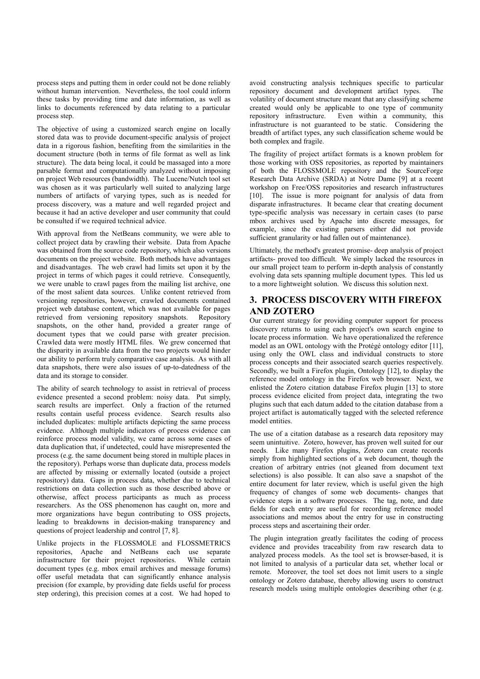process steps and putting them in order could not be done reliably without human intervention. Nevertheless, the tool could inform these tasks by providing time and date information, as well as links to documents referenced by data relating to a particular process step

The objective of using a customized search engine on locally stored data was to provide document-specific analysis of project data in a rigorous fashion, benefiting from the similarities in the document structure (both in terms of file format as well as link structure). The data being local, it could be massaged into a more parsable format and computationally analyzed without imposing on project Web resources (bandwidth). The Lucene/Nutch tool set was chosen as it was particularly well suited to analyzing large numbers of artifacts of varying types, such as is needed for process discovery, was a mature and well regarded project and because it had an active developer and user community that could be consulted if we required technical advice.

With approval from the NetBeans community, we were able to collect project data by crawling their website. Data from Apache was obtained from the source code repository, which also versions documents on the project website. Both methods have advantages and disadvantages. The web crawl had limits set upon it by the project in terms of which pages it could retrieve. Consequently, we were unable to crawl pages from the mailing list archive, one of the most salient data sources. Unlike content retrieved from versioning repositories, however, crawled documents contained project web database content, which was not available for pages retrieved from versioning repository snapshots. Repository snapshots, on the other hand, provided a greater range of document types that we could parse with greater precision. Crawled data were mostly HTML files. We grew concerned that the disparity in available data from the two projects would hinder our ability to perform truly comparative case analysis. As with all data snapshots, there were also issues of up-to-datedness of the data and its storage to consider.

The ability of search technology to assist in retrieval of process evidence presented a second problem: noisy data. Put simply, search results are imperfect. Only a fraction of the returned results contain useful process evidence. Search results also included duplicates: multiple artifacts depicting the same process evidence. Although multiple indicators of process evidence can reinforce process model validity, we came across some cases of data duplication that, if undetected, could have misrepresented the process (e.g. the same document being stored in multiple places in the repository). Perhaps worse than duplicate data, process models are affected by missing or externally located (outside a project repository) data. Gaps in process data, whether due to technical restrictions on data collection such as those described above or otherwise, affect process participants as much as process researchers. As the OSS phenomenon has caught on, more and more organizations have begun contributing to OSS projects, leading to breakdowns in decision-making transparency and questions of project leadership and control [7, 8].

Unlike projects in the FLOSSMOLE and FLOSSMETRICS repositories, Apache and NetBeans each use separate infrastructure for their project repositories. While certain document types (e.g. mbox email archives and message forums) offer useful metadata that can significantly enhance analysis precision (for example, by providing date fields useful for process step ordering), this precision comes at a cost. We had hoped to

avoid constructing analysis techniques specific to particular repository document and development artifact types. The volatility of document structure meant that any classifying scheme created would only be applicable to one type of community repository infrastructure. Even within a community, this infrastructure is not guaranteed to be static. Considering the breadth of artifact types, any such classification scheme would be both complex and fragile.

The fragility of project artifact formats is a known problem for those working with OSS repositories, as reported by maintainers of both the FLOSSMOLE repository and the SourceForge Research Data Archive (SRDA) at Notre Dame [9] at a recent workshop on Free/OSS repositories and research infrastructures [10]. The issue is more poignant for analysis of data from disparate infrastructures. It became clear that creating document type-specific analysis was necessary in certain cases (to parse mbox archives used by Apache into discrete messages, for example, since the existing parsers either did not provide sufficient granularity or had fallen out of maintenance).

Ultimately, the method's greatest promise-deep analysis of project artifacts- proved too difficult. We simply lacked the resources in our small project team to perform in-depth analysis of constantly evolving data sets spanning multiple document types. This led us to a more lightweight solution. We discuss this solution next.

## **3. PROCESS DISCOVERY WITH FIREFOX AND ZOTERO**

Our current strategy for providing computer support for process discovery returns to using each project's own search engine to locate process information. We have operationalized the reference model as an OWL ontology with the Protégé ontology editor [11], using only the OWL class and individual constructs to store process concepts and their associated search queries respectively. Secondly, we built a Firefox plugin, Ontology [12], to display the reference model ontology in the Firefox web browser. Next, we enlisted the Zotero citation database Firefox plugin [13] to store process evidence elicited from project data, integrating the two plugins such that each datum added to the citation database from a project artifact is automatically tagged with the selected reference model entities.

The use of a citation database as a research data repository may seem unintuitive. Zotero, however, has proven well suited for our needs. Like many Firefox plugins, Zotero can create records simply from highlighted sections of a web document, though the creation of arbitrary entries (not gleaned from document text selections) is also possible. It can also save a snapshot of the entire document for later review, which is useful given the high frequency of changes of some web documents- changes that evidence steps in a software processes. The tag, note, and date fields for each entry are useful for recording reference model associations and memos about the entry for use in constructing process steps and ascertaining their order.

The plugin integration greatly facilitates the coding of process evidence and provides traceability from raw research data to analyzed process models. As the tool set is browser-based, it is not limited to analysis of a particular data set, whether local or remote. Moreover, the tool set does not limit users to a single ontology or Zotero database, thereby allowing users to construct research models using multiple ontologies describing other (e.g.